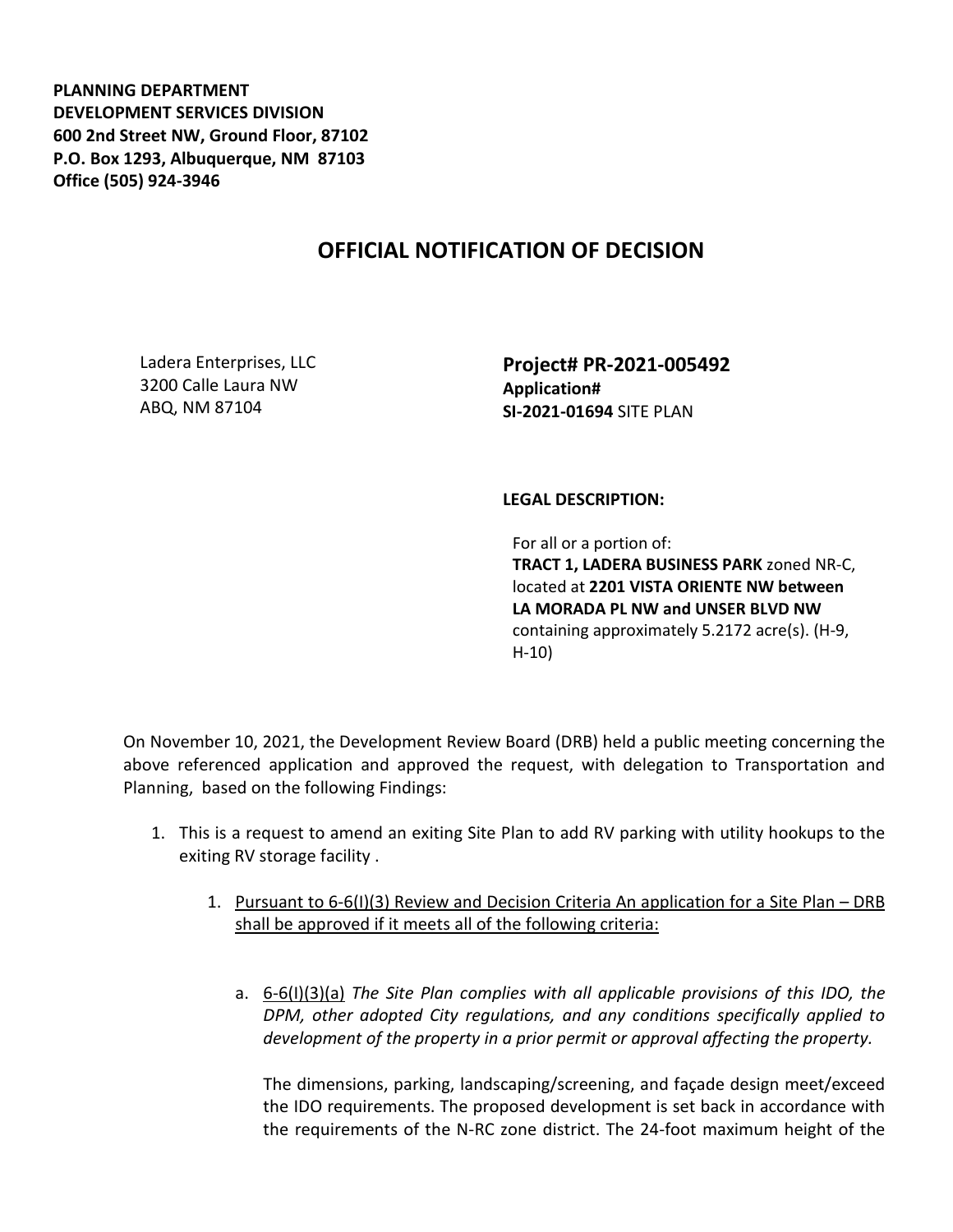**PLANNING DEPARTMENT DEVELOPMENT SERVICES DIVISION 600 2nd Street NW, Ground Floor, 87102 P.O. Box 1293, Albuquerque, NM 87103 Office (505) 924-3946** 

## **OFFICIAL NOTIFICATION OF DECISION**

Ladera Enterprises, LLC 3200 Calle Laura NW ABQ, NM 87104

**Project# PR-2021-005492 Application# SI-2021-01694** SITE PLAN

## **LEGAL DESCRIPTION:**

For all or a portion of: **TRACT 1, LADERA BUSINESS PARK** zoned NR-C, located at **2201 VISTA ORIENTE NW between LA MORADA PL NW and UNSER BLVD NW**  containing approximately 5.2172 acre(s). (H-9, H-10)

On November 10, 2021, the Development Review Board (DRB) held a public meeting concerning the above referenced application and approved the request, with delegation to Transportation and Planning, based on the following Findings:

- 1. This is a request to amend an exiting Site Plan to add RV parking with utility hookups to the exiting RV storage facility .
	- 1. Pursuant to 6-6(I)(3) Review and Decision Criteria An application for a Site Plan DRB shall be approved if it meets all of the following criteria:
		- a. 6-6(I)(3)(a) *The Site Plan complies with all applicable provisions of this IDO, the DPM, other adopted City regulations, and any conditions specifically applied to development of the property in a prior permit or approval affecting the property.*

The dimensions, parking, landscaping/screening, and façade design meet/exceed the IDO requirements. The proposed development is set back in accordance with the requirements of the N-RC zone district. The 24-foot maximum height of the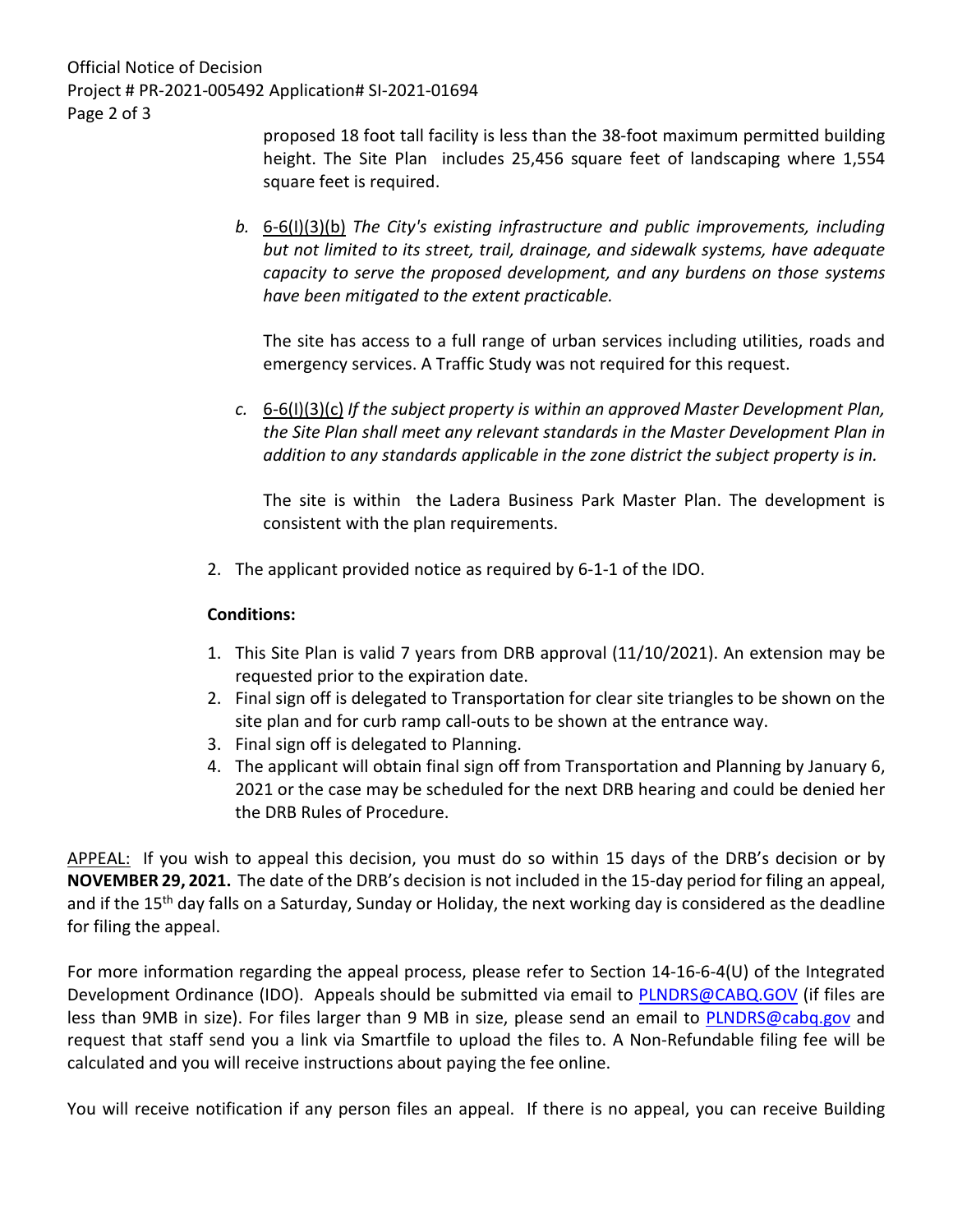Official Notice of Decision Project # PR-2021-005492 Application# SI-2021-01694 Page 2 of 3

proposed 18 foot tall facility is less than the 38-foot maximum permitted building height. The Site Plan includes 25,456 square feet of landscaping where 1,554 square feet is required.

*b.* 6-6(I)(3)(b) *The City's existing infrastructure and public improvements, including but not limited to its street, trail, drainage, and sidewalk systems, have adequate capacity to serve the proposed development, and any burdens on those systems have been mitigated to the extent practicable.* 

The site has access to a full range of urban services including utilities, roads and emergency services. A Traffic Study was not required for this request.

*c.* 6-6(I)(3)(c) *If the subject property is within an approved Master Development Plan, the Site Plan shall meet any relevant standards in the Master Development Plan in addition to any standards applicable in the zone district the subject property is in.*

The site is within the Ladera Business Park Master Plan. The development is consistent with the plan requirements.

2. The applicant provided notice as required by 6-1-1 of the IDO.

## **Conditions:**

- 1. This Site Plan is valid 7 years from DRB approval (11/10/2021). An extension may be requested prior to the expiration date.
- 2. Final sign off is delegated to Transportation for clear site triangles to be shown on the site plan and for curb ramp call-outs to be shown at the entrance way.
- 3. Final sign off is delegated to Planning.
- 4. The applicant will obtain final sign off from Transportation and Planning by January 6, 2021 or the case may be scheduled for the next DRB hearing and could be denied her the DRB Rules of Procedure.

APPEAL: If you wish to appeal this decision, you must do so within 15 days of the DRB's decision or by **NOVEMBER 29, 2021.** The date of the DRB's decision is not included in the 15-day period for filing an appeal, and if the 15<sup>th</sup> day falls on a Saturday, Sunday or Holiday, the next working day is considered as the deadline for filing the appeal.

For more information regarding the appeal process, please refer to Section 14-16-6-4(U) of the Integrated Development Ordinance (IDO). Appeals should be submitted via email to [PLNDRS@CABQ.GOV](mailto:PLNDRS@CABQ.GOV) (if files are less than 9MB in size). For files larger than 9 MB in size, please send an email to [PLNDRS@cabq.gov](mailto:PLNDRS@cabq.gov) and request that staff send you a link via Smartfile to upload the files to. A Non-Refundable filing fee will be calculated and you will receive instructions about paying the fee online.

You will receive notification if any person files an appeal. If there is no appeal, you can receive Building